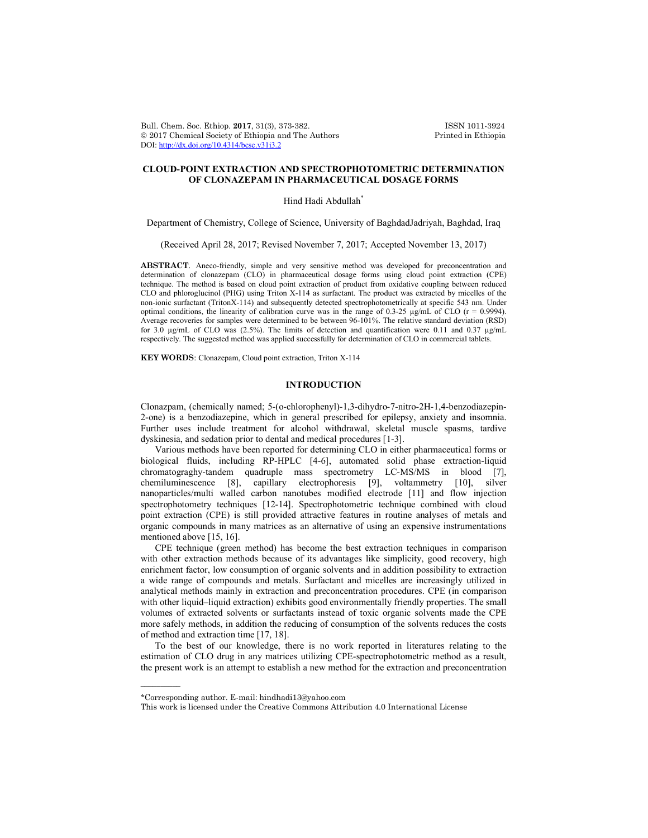Bull. Chem. Soc. Ethiop. 2017, 31(3), 373-382. ISSN 1011-3924<br>
© 2017 Chemical Society of Ethiopia and The Authors Printed in Ethiopia  $© 2017 Chemical Society of Ethiopia and The Authors$ DOI: http://dx.doi.org/10.4314/bcse.v31i3.2

# **CLOUD-POINT EXTRACTION AND SPECTROPHOTOMETRIC DETERMINATION OF CLONAZEPAM IN PHARMACEUTICAL DOSAGE FORMS**

Hind Hadi Abdullah<sup>\*</sup>

Department of Chemistry, College of Science, University of BaghdadJadriyah, Baghdad, Iraq

(Received April 28, 2017; Revised November 7, 2017; Accepted November 13, 2017)

**ABSTRACT**. Aneco-friendly, simple and very sensitive method was developed for preconcentration and determination of clonazepam (CLO) in pharmaceutical dosage forms using cloud point extraction (CPE) technique. The method is based on cloud point extraction of product from oxidative coupling between reduced CLO and phloroglucinol (PHG) using Triton X-114 as surfactant. The product was extracted by micelles of the non-ionic surfactant (TritonX-114) and subsequently detected spectrophotometrically at specific 543 nm. Under optimal conditions, the linearity of calibration curve was in the range of 0.3-25 µg/mL of CLO (r = 0.9994). Average recoveries for samples were determined to be between 96-101%. The relative standard deviation (RSD) for 3.0  $\mu$ g/mL of CLO was (2.5%). The limits of detection and quantification were 0.11 and 0.37  $\mu$ g/mL respectively. The suggested method was applied successfully for determination of CLO in commercial tablets.

**KEY WORDS**: Clonazepam, Cloud point extraction, Triton X-114

#### **INTRODUCTION**

Clonazpam, (chemically named; 5-(o-chlorophenyl)-1,3-dihydro-7-nitro-2H-1,4-benzodiazepin-2-one) is a benzodiazepine, which in general prescribed for epilepsy, anxiety and insomnia. Further uses include treatment for alcohol withdrawal, skeletal muscle spasms, tardive dyskinesia, and sedation prior to dental and medical procedures [1-3].

Various methods have been reported for determining CLO in either pharmaceutical forms or biological fluids, including RP-HPLC [4-6], automated solid phase extraction-liquid chromatograghy-tandem quadruple mass spectrometry LC-MS/MS in blood [7], chemiluminescence [8], capillary electrophoresis [9], voltammetry [10], silver nanoparticles/multi walled carbon nanotubes modified electrode [11] and flow injection spectrophotometry techniques [12-14]. Spectrophotometric technique combined with cloud point extraction (CPE) is still provided attractive features in routine analyses of metals and organic compounds in many matrices as an alternative of using an expensive instrumentations mentioned above [15, 16].

CPE technique (green method) has become the best extraction techniques in comparison with other extraction methods because of its advantages like simplicity, good recovery, high enrichment factor, low consumption of organic solvents and in addition possibility to extraction a wide range of compounds and metals. Surfactant and micelles are increasingly utilized in analytical methods mainly in extraction and preconcentration procedures. CPE (in comparison with other liquid–liquid extraction) exhibits good environmentally friendly properties. The small volumes of extracted solvents or surfactants instead of toxic organic solvents made the CPE more safely methods, in addition the reducing of consumption of the solvents reduces the costs of method and extraction time [17, 18].

To the best of our knowledge, there is no work reported in literatures relating to the estimation of CLO drug in any matrices utilizing CPE-spectrophotometric method as a result, the present work is an attempt to establish a new method for the extraction and preconcentration

 $\overline{\phantom{a}}$ 

<sup>\*</sup>Corresponding author. E-mail: hindhadi13@yahoo.com

This work is licensed under the Creative Commons Attribution 4.0 International License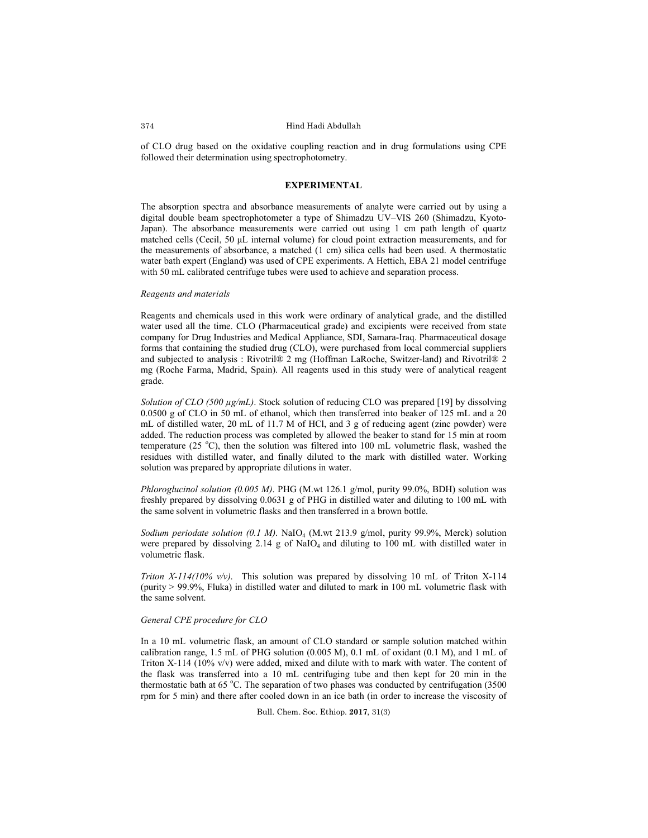of CLO drug based on the oxidative coupling reaction and in drug formulations using CPE followed their determination using spectrophotometry.

### **EXPERIMENTAL**

The absorption spectra and absorbance measurements of analyte were carried out by using a digital double beam spectrophotometer a type of Shimadzu UV–VIS 260 (Shimadzu, Kyoto-Japan). The absorbance measurements were carried out using 1 cm path length of quartz matched cells (Cecil, 50 μL internal volume) for cloud point extraction measurements, and for the measurements of absorbance, a matched (1 cm) silica cells had been used. A thermostatic water bath expert (England) was used of CPE experiments. A Hettich, EBA 21 model centrifuge with 50 mL calibrated centrifuge tubes were used to achieve and separation process.

#### *Reagents and materials*

Reagents and chemicals used in this work were ordinary of analytical grade, and the distilled water used all the time. CLO (Pharmaceutical grade) and excipients were received from state company for Drug Industries and Medical Appliance, SDI, Samara-Iraq. Pharmaceutical dosage forms that containing the studied drug (CLO), were purchased from local commercial suppliers and subjected to analysis : Rivotril® 2 mg (Hoffman LaRoche, Switzer-land) and Rivotril® 2 mg (Roche Farma, Madrid, Spain). All reagents used in this study were of analytical reagent grade.

*Solution of CLO (500 µg/mL)*. Stock solution of reducing CLO was prepared [19] by dissolving 0.0500 g of CLO in 50 mL of ethanol, which then transferred into beaker of 125 mL and a 20 mL of distilled water, 20 mL of 11.7 M of HCl, and 3 g of reducing agent (zinc powder) were added. The reduction process was completed by allowed the beaker to stand for 15 min at room temperature (25 °C), then the solution was filtered into 100 mL volumetric flask, washed the residues with distilled water, and finally diluted to the mark with distilled water. Working solution was prepared by appropriate dilutions in water.

*Phloroglucinol solution (0.005 M)*. PHG (M.wt 126.1 g/mol, purity 99.0%, BDH) solution was freshly prepared by dissolving 0.0631 g of PHG in distilled water and diluting to 100 mL with the same solvent in volumetric flasks and then transferred in a brown bottle.

*Sodium periodate solution (0.1 M)*. NaIO4 (M.wt 213.9 g/mol, purity 99.9%, Merck) solution were prepared by dissolving  $2.14$  g of NaIO<sub>4</sub> and diluting to 100 mL with distilled water in volumetric flask.

*Triton X-114(10% v/v)*. This solution was prepared by dissolving 10 mL of Triton X-114 (purity  $> 99.9\%$ , Fluka) in distilled water and diluted to mark in 100 mL volumetric flask with the same solvent.

### *General CPE procedure for CLO*

In a 10 mL volumetric flask, an amount of CLO standard or sample solution matched within calibration range, 1.5 mL of PHG solution (0.005 M), 0.1 mL of oxidant (0.1 M), and 1 mL of Triton X-114 (10% v/v) were added, mixed and dilute with to mark with water. The content of the flask was transferred into a 10 mL centrifuging tube and then kept for 20 min in the thermostatic bath at 65 °C. The separation of two phases was conducted by centrifugation (3500 rpm for 5 min) and there after cooled down in an ice bath (in order to increase the viscosity of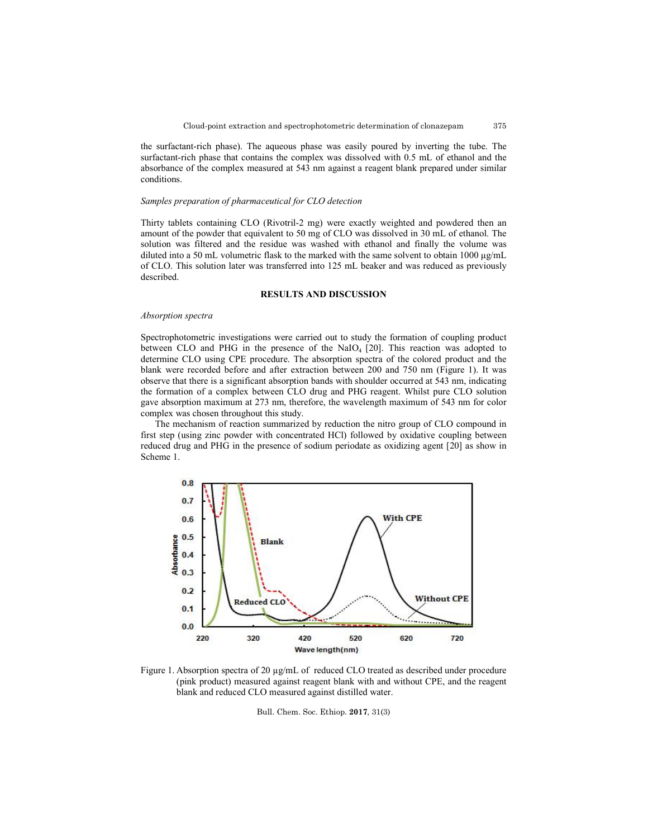the surfactant-rich phase). The aqueous phase was easily poured by inverting the tube. The surfactant-rich phase that contains the complex was dissolved with 0.5 mL of ethanol and the absorbance of the complex measured at 543 nm against a reagent blank prepared under similar conditions.

#### *Samples preparation of pharmaceutical for CLO detection*

Thirty tablets containing CLO (Rivotril-2 mg) were exactly weighted and powdered then an amount of the powder that equivalent to 50 mg of CLO was dissolved in 30 mL of ethanol. The solution was filtered and the residue was washed with ethanol and finally the volume was diluted into a 50 mL volumetric flask to the marked with the same solvent to obtain 1000 μg/mL of CLO. This solution later was transferred into 125 mL beaker and was reduced as previously described.

## **RESULTS AND DISCUSSION**

### *Absorption spectra*

Spectrophotometric investigations were carried out to study the formation of coupling product between CLO and PHG in the presence of the  $NaIO<sub>4</sub>$  [20]. This reaction was adopted to determine CLO using CPE procedure. The absorption spectra of the colored product and the blank were recorded before and after extraction between 200 and 750 nm (Figure 1). It was observe that there is a significant absorption bands with shoulder occurred at 543 nm, indicating the formation of a complex between CLO drug and PHG reagent. Whilst pure CLO solution gave absorption maximum at 273 nm, therefore, the wavelength maximum of 543 nm for color complex was chosen throughout this study.

The mechanism of reaction summarized by reduction the nitro group of CLO compound in first step (using zinc powder with concentrated HCl) followed by oxidative coupling between reduced drug and PHG in the presence of sodium periodate as oxidizing agent [20] as show in Scheme 1.



Figure 1. Absorption spectra of 20  $\mu$ g/mL of reduced CLO treated as described under procedure (pink product) measured against reagent blank with and without CPE, and the reagent blank and reduced CLO measured against distilled water.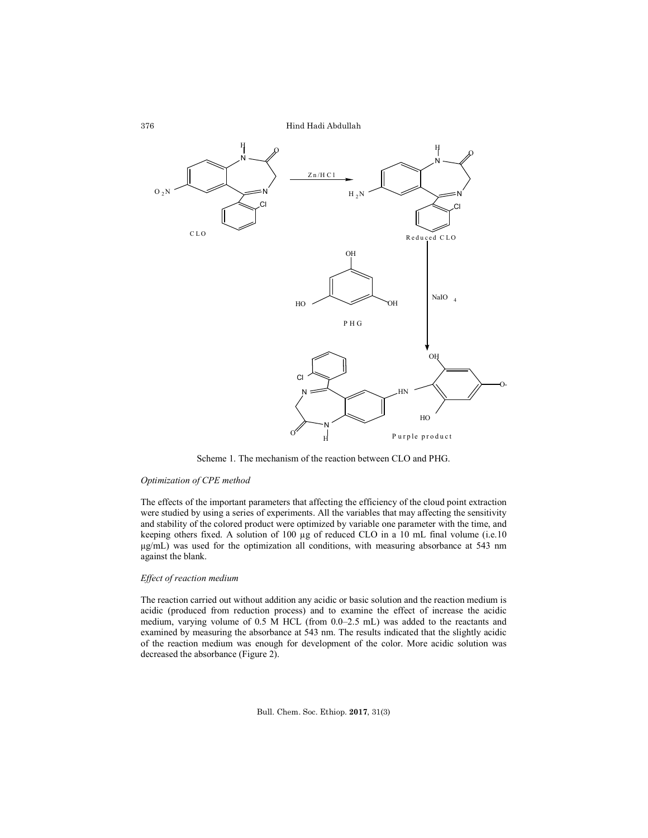

Scheme 1. The mechanism of the reaction between CLO and PHG.

### *Optimization of CPE method*

The effects of the important parameters that affecting the efficiency of the cloud point extraction were studied by using a series of experiments. All the variables that may affecting the sensitivity and stability of the colored product were optimized by variable one parameter with the time, and keeping others fixed. A solution of 100 µg of reduced CLO in a 10 mL final volume (i.e.10 μg/mL) was used for the optimization all conditions, with measuring absorbance at 543 nm against the blank.

## *Effect of reaction medium*

The reaction carried out without addition any acidic or basic solution and the reaction medium is acidic (produced from reduction process) and to examine the effect of increase the acidic medium, varying volume of 0.5 M HCL (from 0.0–2.5 mL) was added to the reactants and examined by measuring the absorbance at 543 nm. The results indicated that the slightly acidic of the reaction medium was enough for development of the color. More acidic solution was decreased the absorbance (Figure 2).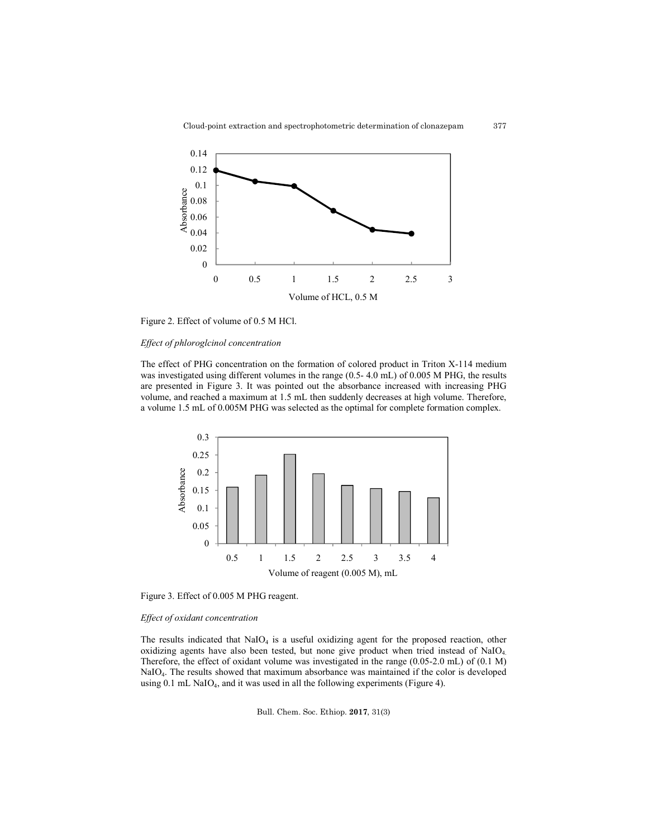

Figure 2. Effect of volume of 0.5 M HCl.

## *Effect of phloroglcinol concentration*

The effect of PHG concentration on the formation of colored product in Triton X-114 medium was investigated using different volumes in the range (0.5- 4.0 mL) of 0.005 M PHG, the results are presented in Figure 3. It was pointed out the absorbance increased with increasing PHG volume, and reached a maximum at 1.5 mL then suddenly decreases at high volume. Therefore, a volume 1.5 mL of 0.005M PHG was selected as the optimal for complete formation complex.



Figure 3. Effect of 0.005 M PHG reagent.

## *Effect of oxidant concentration*

The results indicated that  $NaIO<sub>4</sub>$  is a useful oxidizing agent for the proposed reaction, other oxidizing agents have also been tested, but none give product when tried instead of  $NaIO<sub>4</sub>$ . Therefore, the effect of oxidant volume was investigated in the range (0.05-2.0 mL) of (0.1 M) NaIO4. The results showed that maximum absorbance was maintained if the color is developed using 0.1 mL NaIO<sub>4</sub>, and it was used in all the following experiments (Figure 4).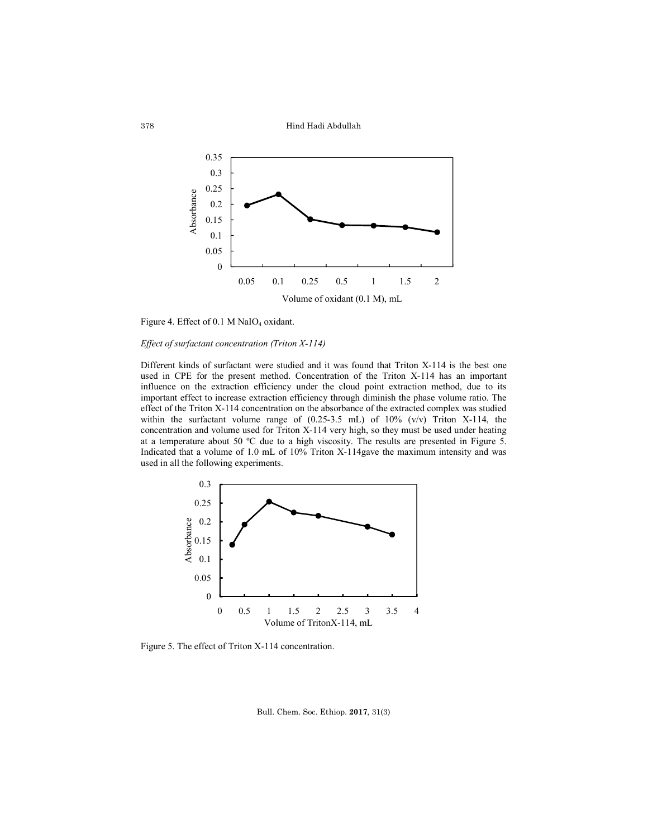Hind Hadi Abdullah



Figure 4. Effect of 0.1 M NaIO<sub>4</sub> oxidant.

## *Effect of surfactant concentration (Triton X-114)*

Different kinds of surfactant were studied and it was found that Triton X-114 is the best one used in CPE for the present method. Concentration of the Triton X-114 has an important influence on the extraction efficiency under the cloud point extraction method, due to its important effect to increase extraction efficiency through diminish the phase volume ratio. The effect of the Triton X-114 concentration on the absorbance of the extracted complex was studied within the surfactant volume range of (0.25-3.5 mL) of 10% (v/v) Triton X-114, the concentration and volume used for Triton X-114 very high, so they must be used under heating at a temperature about 50 ºC due to a high viscosity. The results are presented in Figure 5. Indicated that a volume of 1.0 mL of 10% Triton X-114gave the maximum intensity and was used in all the following experiments.



Figure 5. The effect of Triton X-114 concentration.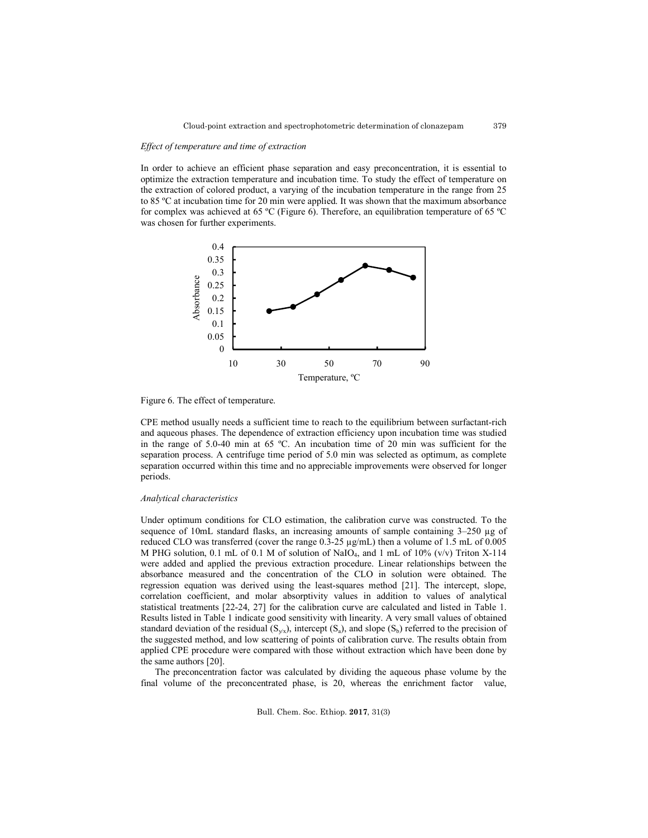379

### *Effect of temperature and time of extraction*

In order to achieve an efficient phase separation and easy preconcentration, it is essential to optimize the extraction temperature and incubation time. To study the effect of temperature on the extraction of colored product, a varying of the incubation temperature in the range from 25 to 85 ºC at incubation time for 20 min were applied. It was shown that the maximum absorbance for complex was achieved at 65 ºC (Figure 6). Therefore, an equilibration temperature of 65 ºC was chosen for further experiments.



Figure 6. The effect of temperature.

CPE method usually needs a sufficient time to reach to the equilibrium between surfactant-rich and aqueous phases. The dependence of extraction efficiency upon incubation time was studied in the range of 5.0-40 min at 65 ºC. An incubation time of 20 min was sufficient for the separation process. A centrifuge time period of 5.0 min was selected as optimum, as complete separation occurred within this time and no appreciable improvements were observed for longer periods.

#### *Analytical characteristics*

Under optimum conditions for CLO estimation, the calibration curve was constructed. To the sequence of 10mL standard flasks, an increasing amounts of sample containing  $3-250 \mu g$  of reduced CLO was transferred (cover the range  $0.3-25 \mu g/mL$ ) then a volume of 1.5 mL of 0.005 M PHG solution, 0.1 mL of 0.1 M of solution of NaIO<sub>4</sub>, and 1 mL of 10% (v/v) Triton X-114 were added and applied the previous extraction procedure. Linear relationships between the absorbance measured and the concentration of the CLO in solution were obtained. The regression equation was derived using the least-squares method [21]. The intercept, slope, correlation coefficient, and molar absorptivity values in addition to values of analytical statistical treatments [22-24, 27] for the calibration curve are calculated and listed in Table 1. Results listed in Table 1 indicate good sensitivity with linearity. A very small values of obtained standard deviation of the residual  $(S_{y/x})$ , intercept  $(S_a)$ , and slope  $(S_b)$  referred to the precision of the suggested method, and low scattering of points of calibration curve. The results obtain from applied CPE procedure were compared with those without extraction which have been done by the same authors [20].

The preconcentration factor was calculated by dividing the aqueous phase volume by the final volume of the preconcentrated phase, is 20, whereas the enrichment factor value,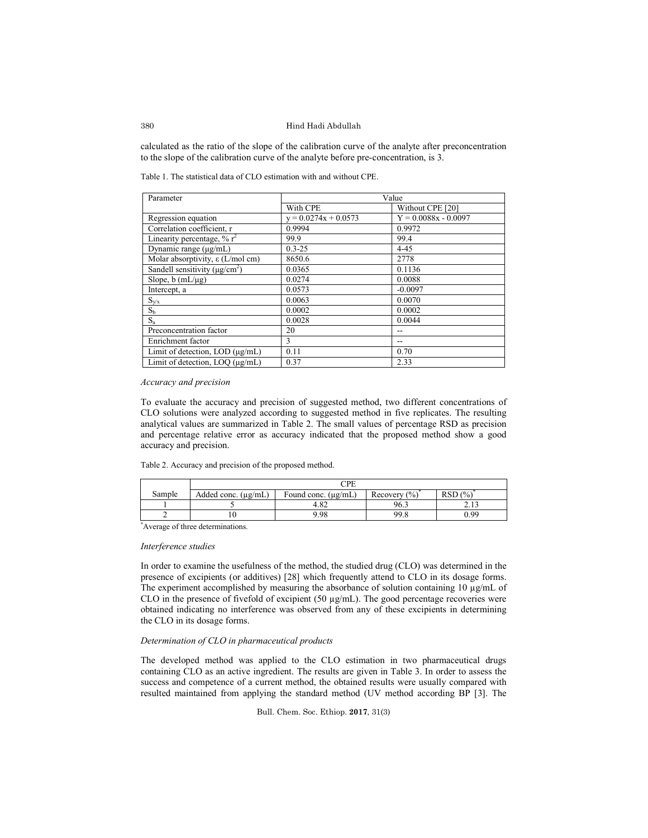#### Hind Hadi Abdullah

calculated as the ratio of the slope of the calibration curve of the analyte after preconcentration to the slope of the calibration curve of the analyte before pre-concentration, is 3.

Table 1. The statistical data of CLO estimation with and without CPE.

| Parameter                                       | Value                  |                        |  |
|-------------------------------------------------|------------------------|------------------------|--|
|                                                 | With CPE               | Without CPE [20]       |  |
| Regression equation                             | $y = 0.0274x + 0.0573$ | $Y = 0.0088x - 0.0097$ |  |
| Correlation coefficient, r                      | 0.9994                 | 0.9972                 |  |
| Linearity percentage, $\%$ r <sup>2</sup>       | 99.9                   | 99.4                   |  |
| Dynamic range (µg/mL)                           | $0.3 - 25$             | $4 - 45$               |  |
| Molar absorptivity, $\varepsilon$ (L/mol cm)    | 8650.6                 | 2778                   |  |
| Sandell sensitivity ( $\mu$ g/cm <sup>2</sup> ) | 0.0365                 | 0.1136                 |  |
| Slope, $b$ (mL/ $\mu$ g)                        | 0.0274                 | 0.0088                 |  |
| Intercept, a                                    | 0.0573                 | $-0.0097$              |  |
| $S_{y/x}$                                       | 0.0063                 | 0.0070                 |  |
| $S_b$                                           | 0.0002                 | 0.0002                 |  |
| $S_{a}$                                         | 0.0028                 | 0.0044                 |  |
| Preconcentration factor                         | 20                     |                        |  |
| Enrichment factor                               | 3                      |                        |  |
| Limit of detection, LOD $(\mu g/mL)$            | 0.11                   | 0.70                   |  |
| Limit of detection, LOO (µg/mL)                 | 0.37                   | 2.33                   |  |

### *Accuracy and precision*

To evaluate the accuracy and precision of suggested method, two different concentrations of CLO solutions were analyzed according to suggested method in five replicates. The resulting analytical values are summarized in Table 2. The small values of percentage RSD as precision and percentage relative error as accuracy indicated that the proposed method show a good accuracy and precision.

Table 2. Accuracy and precision of the proposed method.

|        | `PF                      |                          |                           |        |  |  |
|--------|--------------------------|--------------------------|---------------------------|--------|--|--|
| Sample | Added conc. $(\mu g/mL)$ | Found conc. $(\mu g/mL)$ | $(%^{0})^{2}$<br>Recovery | RSD(%) |  |  |
|        |                          | 4.82                     | 96.3                      | ر      |  |  |
|        |                          | 9.98                     | 99.8                      | O 99   |  |  |

\* Average of three determinations.

#### *Interference studies*

In order to examine the usefulness of the method, the studied drug (CLO) was determined in the presence of excipients (or additives) [28] which frequently attend to CLO in its dosage forms. The experiment accomplished by measuring the absorbance of solution containing 10 µg/mL of CLO in the presence of fivefold of excipient (50 µg/mL). The good percentage recoveries were obtained indicating no interference was observed from any of these excipients in determining the CLO in its dosage forms.

# *Determination of CLO in pharmaceutical products*

The developed method was applied to the CLO estimation in two pharmaceutical drugs containing CLO as an active ingredient. The results are given in Table 3. In order to assess the success and competence of a current method, the obtained results were usually compared with resulted maintained from applying the standard method (UV method according BP [3]. The

Bull. Chem. Soc. Ethiop. **2017**, 31(3)

380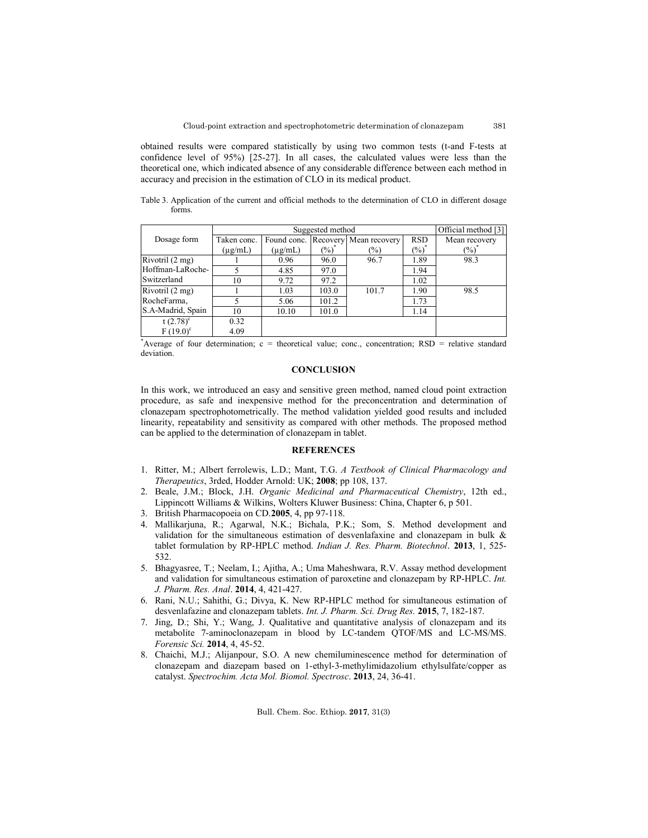obtained results were compared statistically by using two common tests (t-and F-tests at confidence level of 95%) [25-27]. In all cases, the calculated values were less than the theoretical one, which indicated absence of any considerable difference between each method in accuracy and precision in the estimation of CLO in its medical product.

Table 3. Application of the current and official methods to the determination of CLO in different dosage forms.

|                   | Suggested method |              |          |               |            | Official method [3] |
|-------------------|------------------|--------------|----------|---------------|------------|---------------------|
| Dosage form       | Taken conc.      | Found conc.  | Recovery | Mean recovery | <b>RSD</b> | Mean recovery       |
|                   | $(\mu g/mL)$     | $(\mu$ g/mL) | $(\%)$   | $\frac{1}{2}$ | $(\%)$     | $(\%)$              |
| Rivotril (2 mg)   |                  | 0.96         | 96.0     | 96.7          | 1.89       | 98.3                |
| Hoffman-LaRoche-  |                  | 4.85         | 97.0     |               | 1.94       |                     |
| Switzerland       | 10               | 9.72         | 97.2     |               | 1.02       |                     |
| Rivotril (2 mg)   |                  | 1.03         | 103.0    | 101.7         | 1.90       | 98.5                |
| RocheFarma,       |                  | 5.06         | 101.2    |               | 1.73       |                     |
| S.A-Madrid, Spain | 10               | 10.10        | 101.0    |               | 1.14       |                     |
| t $(2.78)^c$      | 0.32             |              |          |               |            |                     |
| $F(19.0)^c$       | 4.09             |              |          |               |            |                     |

\* Average of four determination; c = theoretical value; conc., concentration; RSD = relative standard deviation.

### **CONCLUSION**

In this work, we introduced an easy and sensitive green method, named cloud point extraction procedure, as safe and inexpensive method for the preconcentration and determination of clonazepam spectrophotometrically. The method validation yielded good results and included linearity, repeatability and sensitivity as compared with other methods. The proposed method can be applied to the determination of clonazepam in tablet.

#### **REFERENCES**

- 1. Ritter, M.; Albert ferrolewis, L.D.; Mant, T.G. *A Textbook of Clinical Pharmacology and Therapeutics*, 3rded, Hodder Arnold: UK; **2008**; pp 108, 137.
- 2. Beale, J.M.; Block, J.H. *Organic Medicinal and Pharmaceutical Chemistry*, 12th ed., Lippincott Williams & Wilkins, Wolters Kluwer Business: China, Chapter 6, p 501.
- 3. British Pharmacopoeia on CD.**2005**, 4, pp 97-118.
- 4. Mallikarjuna, R.; Agarwal, N.K.; Bichala, P.K.; Som, S. Method development and validation for the simultaneous estimation of desvenlafaxine and clonazepam in bulk & tablet formulation by RP-HPLC method. *Indian J. Res. Pharm. Biotechnol*. **2013**, 1, 525- 532.
- 5. Bhagyasree, T.; Neelam, I.; Ajitha, A.; Uma Maheshwara, R.V. Assay method development and validation for simultaneous estimation of paroxetine and clonazepam by RP-HPLC. *Int. J. Pharm. Res. Anal*. **2014**, 4, 421-427.
- 6. Rani, N.U.; Sahithi, G.; Divya, K. New RP-HPLC method for simultaneous estimation of desvenlafazine and clonazepam tablets. *Int. J. Pharm. Sci. Drug Res.* **2015**, 7, 182-187.
- 7. Jing, D.; Shi, Y.; Wang, J. Qualitative and quantitative analysis of clonazepam and its metabolite 7-aminoclonazepam in blood by LC-tandem QTOF/MS and LC-MS/MS. *Forensic Sci.* **2014**, 4, 45-52.
- 8. Chaichi, M.J.; Alijanpour, S.O. A new chemiluminescence method for determination of clonazepam and diazepam based on 1-ethyl-3-methylimidazolium ethylsulfate/copper as catalyst. *Spectrochim. Acta Mol. Biomol. Spectrosc*. **2013**, 24, 36-41.